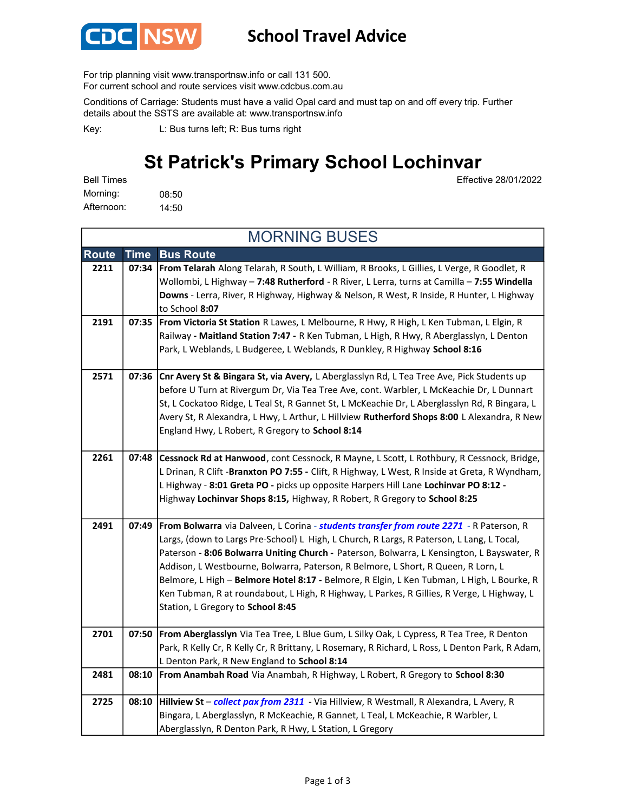

## School Travel Advice

For trip planning visit www.transportnsw.info or call 131 500.

For current school and route services visit www.cdcbus.com.au

Conditions of Carriage: Students must have a valid Opal card and must tap on and off every trip. Further details about the SSTS are available at: www.transportnsw.info

L: Bus turns left; R: Bus turns right Key:

## St Patrick's Primary School Lochinvar

Effective 28/01/2022

08:50 14:50 Afternoon: Bell Times Morning:

Route Time Bus Route 2211 | 07:34 | From Telarah Along Telarah, R South, L William, R Brooks, L Gillies, L Verge, R Goodlet, R Wollombi, L Highway - 7:48 Rutherford - R River, L Lerra, turns at Camilla - 7:55 Windella Downs - Lerra, River, R Highway, Highway & Nelson, R West, R Inside, R Hunter, L Highway to School 8:07 2191 | 07:35 | From Victoria St Station R Lawes, L Melbourne, R Hwy, R High, L Ken Tubman, L Elgin, R Railway - Maitland Station 7:47 - R Ken Tubman, L High, R Hwy, R Aberglasslyn, L Denton Park, L Weblands, L Budgeree, L Weblands, R Dunkley, R Highway School 8:16 2571 | 07:36 | Cnr Avery St & Bingara St, via Avery, L Aberglasslyn Rd, L Tea Tree Ave, Pick Students up before U Turn at Rivergum Dr, Via Tea Tree Ave, cont. Warbler, L McKeachie Dr, L Dunnart St, L Cockatoo Ridge, L Teal St, R Gannet St, L McKeachie Dr, L Aberglasslyn Rd, R Bingara, L Avery St, R Alexandra, L Hwy, L Arthur, L Hillview Rutherford Shops 8:00 L Alexandra, R New England Hwy, L Robert, R Gregory to School 8:14 2261 | 07:48 | Cessnock Rd at Hanwood, cont Cessnock, R Mayne, L Scott, L Rothbury, R Cessnock, Bridge, L Drinan, R Clift -Branxton PO 7:55 - Clift, R Highway, L West, R Inside at Greta, R Wyndham, L Highway - 8:01 Greta PO - picks up opposite Harpers Hill Lane Lochinvar PO 8:12 -Highway Lochinvar Shops 8:15, Highway, R Robert, R Gregory to School 8:25 2491 | 07:49 | From Bolwarra via Dalveen, L Corina - students transfer from route 2271 - R Paterson, R Largs, (down to Largs Pre-School) L High, L Church, R Largs, R Paterson, L Lang, L Tocal, Paterson - 8:06 Bolwarra Uniting Church - Paterson, Bolwarra, L Kensington, L Bayswater, R Addison, L Westbourne, Bolwarra, Paterson, R Belmore, L Short, R Queen, R Lorn, L Belmore, L High - Belmore Hotel 8:17 - Belmore, R Elgin, L Ken Tubman, L High, L Bourke, R Ken Tubman, R at roundabout, L High, R Highway, L Parkes, R Gillies, R Verge, L Highway, L Station, L Gregory to School 8:45 2701 | 07:50 From Aberglasslyn Via Tea Tree, L Blue Gum, L Silky Oak, L Cypress, R Tea Tree, R Denton Park, R Kelly Cr, R Kelly Cr, R Brittany, L Rosemary, R Richard, L Ross, L Denton Park, R Adam, L Denton Park, R New England to School 8:14 2481 | 08:10 | From Anambah Road Via Anambah, R Highway, L Robert, R Gregory to School 8:30 2725 08:10 | Hillview St – collect pax from 2311 - Via Hillview, R Westmall, R Alexandra, L Avery, R Bingara, L Aberglasslyn, R McKeachie, R Gannet, L Teal, L McKeachie, R Warbler, L Aberglasslyn, R Denton Park, R Hwy, L Station, L Gregory MORNING BUSES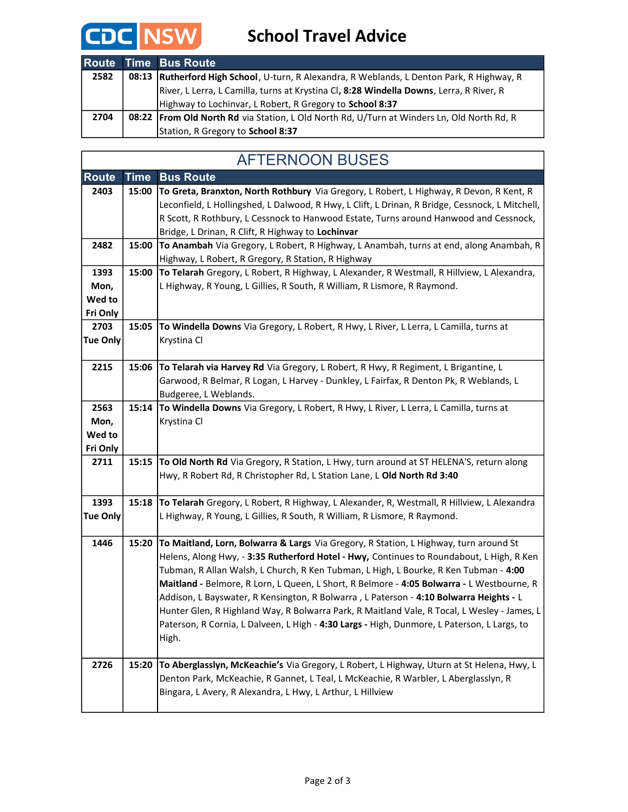

|      | Route Time Bus Route                                                                         |
|------|----------------------------------------------------------------------------------------------|
| 2582 | 08:13   Rutherford High School, U-turn, R Alexandra, R Weblands, L Denton Park, R Highway, R |
|      | River, L Lerra, L Camilla, turns at Krystina Cl, 8:28 Windella Downs, Lerra, R River, R      |
|      | Highway to Lochinvar, L Robert, R Gregory to School 8:37                                     |
| 2704 | 08:22 From Old North Rd via Station, L Old North Rd, U/Turn at Winders Ln, Old North Rd, R   |
|      | Station, R Gregory to School 8:37                                                            |

| <b>AFTERNOON BUSES</b>             |             |                                                                                                                                                                                                                                                                                                                                                                                                                                                                                                                                                                                                                                                                         |  |  |  |
|------------------------------------|-------------|-------------------------------------------------------------------------------------------------------------------------------------------------------------------------------------------------------------------------------------------------------------------------------------------------------------------------------------------------------------------------------------------------------------------------------------------------------------------------------------------------------------------------------------------------------------------------------------------------------------------------------------------------------------------------|--|--|--|
| <b>Route</b>                       | <b>Time</b> | <b>Bus Route</b>                                                                                                                                                                                                                                                                                                                                                                                                                                                                                                                                                                                                                                                        |  |  |  |
| 2403                               | 15:00       | To Greta, Branxton, North Rothbury Via Gregory, L Robert, L Highway, R Devon, R Kent, R<br>Leconfield, L Hollingshed, L Dalwood, R Hwy, L Clift, L Drinan, R Bridge, Cessnock, L Mitchell,<br>R Scott, R Rothbury, L Cessnock to Hanwood Estate, Turns around Hanwood and Cessnock,<br>Bridge, L Drinan, R Clift, R Highway to Lochinvar                                                                                                                                                                                                                                                                                                                                |  |  |  |
| 2482                               | 15:00       | To Anambah Via Gregory, L Robert, R Highway, L Anambah, turns at end, along Anambah, R<br>Highway, L Robert, R Gregory, R Station, R Highway                                                                                                                                                                                                                                                                                                                                                                                                                                                                                                                            |  |  |  |
| 1393<br>Mon,<br>Wed to<br>Fri Only | 15:00       | To Telarah Gregory, L Robert, R Highway, L Alexander, R Westmall, R Hillview, L Alexandra,<br>L Highway, R Young, L Gillies, R South, R William, R Lismore, R Raymond.                                                                                                                                                                                                                                                                                                                                                                                                                                                                                                  |  |  |  |
| 2703<br>Tue Only                   |             | 15:05 To Windella Downs Via Gregory, L Robert, R Hwy, L River, L Lerra, L Camilla, turns at<br>Krystina Cl                                                                                                                                                                                                                                                                                                                                                                                                                                                                                                                                                              |  |  |  |
| 2215                               |             | 15:06 To Telarah via Harvey Rd Via Gregory, L Robert, R Hwy, R Regiment, L Brigantine, L<br>Garwood, R Belmar, R Logan, L Harvey - Dunkley, L Fairfax, R Denton Pk, R Weblands, L<br>Budgeree, L Weblands.                                                                                                                                                                                                                                                                                                                                                                                                                                                              |  |  |  |
| 2563<br>Mon,<br>Wed to<br>Fri Only | 15:14       | To Windella Downs Via Gregory, L Robert, R Hwy, L River, L Lerra, L Camilla, turns at<br>Krystina Cl                                                                                                                                                                                                                                                                                                                                                                                                                                                                                                                                                                    |  |  |  |
| 2711                               |             | 15:15 To Old North Rd Via Gregory, R Station, L Hwy, turn around at ST HELENA'S, return along<br>Hwy, R Robert Rd, R Christopher Rd, L Station Lane, L Old North Rd 3:40                                                                                                                                                                                                                                                                                                                                                                                                                                                                                                |  |  |  |
| 1393<br><b>Tue Only</b>            | 15:18       | To Telarah Gregory, L Robert, R Highway, L Alexander, R, Westmall, R Hillview, L Alexandra<br>L Highway, R Young, L Gillies, R South, R William, R Lismore, R Raymond.                                                                                                                                                                                                                                                                                                                                                                                                                                                                                                  |  |  |  |
| 1446                               | 15:20       | To Maitland, Lorn, Bolwarra & Largs Via Gregory, R Station, L Highway, turn around St<br>Helens, Along Hwy, - 3:35 Rutherford Hotel - Hwy, Continues to Roundabout, L High, R Ken<br>Tubman, R Allan Walsh, L Church, R Ken Tubman, L High, L Bourke, R Ken Tubman - 4:00<br>Maitland - Belmore, R Lorn, L Queen, L Short, R Belmore - 4:05 Bolwarra - L Westbourne, R<br>Addison, L Bayswater, R Kensington, R Bolwarra, L Paterson - 4:10 Bolwarra Heights - L<br>Hunter Glen, R Highland Way, R Bolwarra Park, R Maitland Vale, R Tocal, L Wesley - James, L<br>Paterson, R Cornia, L Dalveen, L High - 4:30 Largs - High, Dunmore, L Paterson, L Largs, to<br>High. |  |  |  |
| 2726                               | 15:20       | To Aberglasslyn, McKeachie's Via Gregory, L Robert, L Highway, Uturn at St Helena, Hwy, L<br>Denton Park, McKeachie, R Gannet, L Teal, L McKeachie, R Warbler, L Aberglasslyn, R<br>Bingara, L Avery, R Alexandra, L Hwy, L Arthur, L Hillview                                                                                                                                                                                                                                                                                                                                                                                                                          |  |  |  |